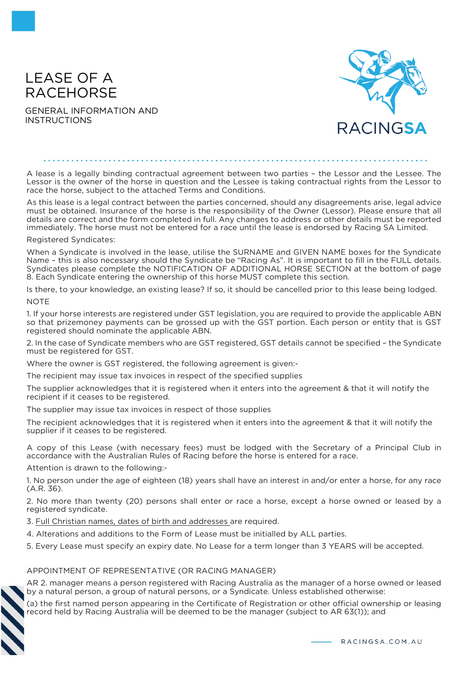# LEASE OF A RACEHORSE

GENERAL INFORMATION AND INSTRUCTIONS



A lease is a legally binding contractual agreement between two parties – the Lessor and the Lessee. The Lessor is the owner of the horse in question and the Lessee is taking contractual rights from the Lessor to race the horse, subject to the attached Terms and Conditions.

As this lease is a legal contract between the parties concerned, should any disagreements arise, legal advice must be obtained. Insurance of the horse is the responsibility of the Owner (Lessor). Please ensure that all details are correct and the form completed in full. Any changes to address or other details must be reported immediately. The horse must not be entered for a race until the lease is endorsed by Racing SA Limited.

Registered Syndicates:

When a Syndicate is involved in the lease, utilise the SURNAME and GIVEN NAME boxes for the Syndicate Name – this is also necessary should the Syndicate be "Racing As". It is important to fill in the FULL details. Syndicates please complete the NOTIFICATION OF ADDITIONAL HORSE SECTION at the bottom of page 8. Each Syndicate entering the ownership of this horse MUST complete this section.

Is there, to your knowledge, an existing lease? If so, it should be cancelled prior to this lease being lodged. **NOTE** 

1. If your horse interests are registered under GST legislation, you are required to provide the applicable ABN so that prizemoney payments can be grossed up with the GST portion. Each person or entity that is GST registered should nominate the applicable ABN.

2. In the case of Syndicate members who are GST registered, GST details cannot be specified – the Syndicate must be registered for GST.

Where the owner is GST registered, the following agreement is given:-

The recipient may issue tax invoices in respect of the specified supplies

The supplier acknowledges that it is registered when it enters into the agreement & that it will notify the recipient if it ceases to be registered.

The supplier may issue tax invoices in respect of those supplies

The recipient acknowledges that it is registered when it enters into the agreement & that it will notify the supplier if it ceases to be registered.

A copy of this Lease (with necessary fees) must be lodged with the Secretary of a Principal Club in accordance with the Australian Rules of Racing before the horse is entered for a race.

Attention is drawn to the following:-

1. No person under the age of eighteen (18) years shall have an interest in and/or enter a horse, for any race (A.R. 36).

2. No more than twenty (20) persons shall enter or race a horse, except a horse owned or leased by a registered syndicate.

3. Full Christian names, dates of birth and addresses are required.

4. Alterations and additions to the Form of Lease must be initialled by ALL parties.

5. Every Lease must specify an expiry date. No Lease for a term longer than 3 YEARS will be accepted.

#### APPOINTMENT OF REPRESENTATIVE (OR RACING MANAGER)

AR 2. manager means a person registered with Racing Australia as the manager of a horse owned or leased by a natural person, a group of natural persons, or a Syndicate. Unless established otherwise:

(a) the first named person appearing in the Certificate of Registration or other official ownership or leasing record held by Racing Australia will be deemed to be the manager (subject to AR 63(1)); and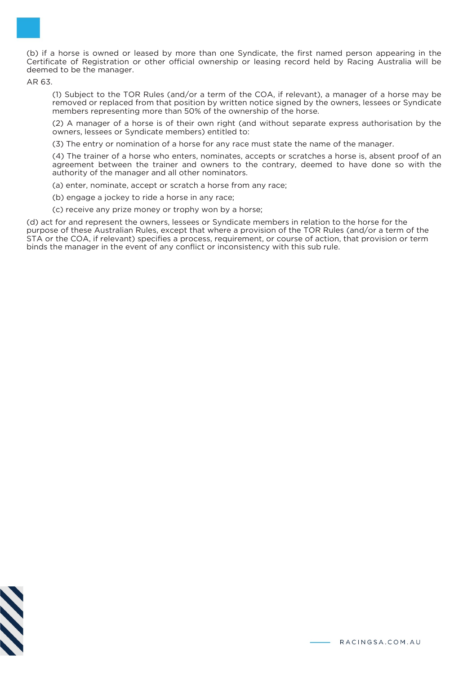

AR 63.

(1) Subject to the TOR Rules (and/or a term of the COA, if relevant), a manager of a horse may be removed or replaced from that position by written notice signed by the owners, lessees or Syndicate members representing more than 50% of the ownership of the horse.

(2) A manager of a horse is of their own right (and without separate express authorisation by the owners, lessees or Syndicate members) entitled to:

(3) The entry or nomination of a horse for any race must state the name of the manager.

(4) The trainer of a horse who enters, nominates, accepts or scratches a horse is, absent proof of an agreement between the trainer and owners to the contrary, deemed to have done so with the authority of the manager and all other nominators.

(a) enter, nominate, accept or scratch a horse from any race;

(b) engage a jockey to ride a horse in any race;

(c) receive any prize money or trophy won by a horse;

(d) act for and represent the owners, lessees or Syndicate members in relation to the horse for the purpose of these Australian Rules, except that where a provision of the TOR Rules (and/or a term of the STA or the COA, if relevant) specifies a process, requirement, or course of action, that provision or term binds the manager in the event of any conflict or inconsistency with this sub rule.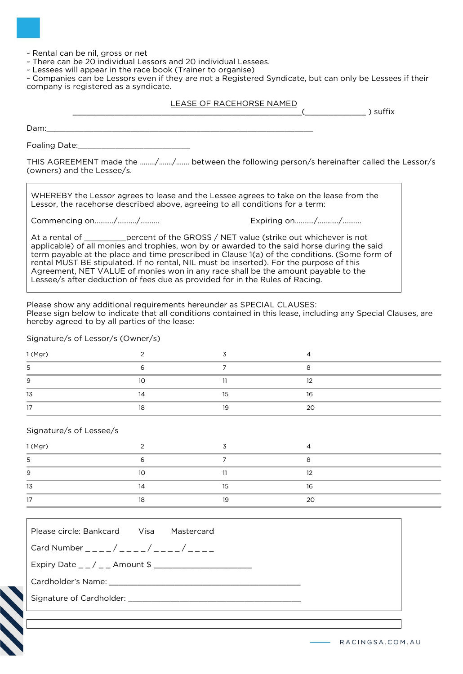~ Rental can be nil, gross or net

~ There can be 20 individual Lessors and 20 individual Lessees.

~ Lessees will appear in the race book (Trainer to organise)

~ Companies can be Lessors even if they are not a Registered Syndicate, but can only be Lessees if their company is registered as a syndicate.

#### LEASE OF RACEHORSE NAMED

 $\zeta$  ) suffix

Dam:\_\_\_\_\_\_\_\_\_\_\_\_\_\_\_\_\_\_\_\_\_\_\_\_\_\_\_\_\_\_\_\_\_\_\_\_\_\_\_\_\_\_\_\_\_\_\_\_\_\_\_\_\_\_\_\_\_

Foaling Date:\_\_\_\_\_\_\_\_\_\_\_\_\_\_\_\_\_\_\_\_\_\_\_\_

THIS AGREEMENT made the ……../……./……. between the following person/s hereinafter called the Lessor/s (owners) and the Lessee/s.

WHEREBY the Lessor agrees to lease and the Lessee agrees to take on the lease from the Lessor, the racehorse described above, agreeing to all conditions for a term:

Commencing on…...…./……..../…….... Expiring on…...…./…....…./…...….

At a rental of \_\_\_\_\_\_\_\_\_percent of the GROSS / NET value (strike out whichever is not applicable) of all monies and trophies, won by or awarded to the said horse during the said term payable at the place and time prescribed in Clause 1(a) of the conditions. (Some form of rental MUST BE stipulated. If no rental, NIL must be inserted). For the purpose of this Agreement, NET VALUE of monies won in any race shall be the amount payable to the Lessee/s after deduction of fees due as provided for in the Rules of Racing.

Please show any additional requirements hereunder as SPECIAL CLAUSES: Please sign below to indicate that all conditions contained in this lease, including any Special Clauses, are hereby agreed to by all parties of the lease:

Signature/s of Lessor/s (Owner/s)

| 1(Mgr)         |                |    |    |
|----------------|----------------|----|----|
| ১              |                |    |    |
| 9              | 1 <sup>0</sup> | -- | 12 |
| 13             |                | כו | 16 |
| $\overline{ }$ | 10             | 19 | 20 |

#### Signature/s of Lessee/s

| 1(Mgr) |          |    |    |  |
|--------|----------|----|----|--|
| 5      |          |    |    |  |
| 9      | $1 \cap$ |    | າາ |  |
| 13     |          |    | 16 |  |
|        | 10       | 10 | 20 |  |

| Please circle: Bankcard Visa Mastercard |  |  |  |  |
|-----------------------------------------|--|--|--|--|
| Card Number ____/____/____/____/____    |  |  |  |  |
|                                         |  |  |  |  |
|                                         |  |  |  |  |
|                                         |  |  |  |  |
|                                         |  |  |  |  |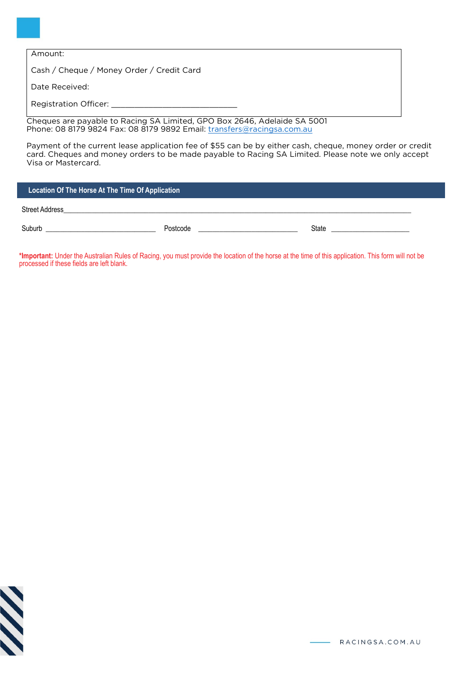| Amount: |
|---------|
|---------|

Cash / Cheque / Money Order / Credit Card

Date Received:

Registration Officer:

Cheques are payable to Racing SA Limited, GPO Box 2646, Adelaide SA 5001 Phone: 08 8179 9824 Fax: 08 8179 9892 Email: [transfers@racingsa.com.au](mailto:transfers@racingsa.com.au.)

Payment of the current lease application fee of \$55 can be by either cash, cheque, money order or credit card. Cheques and money orders to be made payable to Racing SA Limited. Please note we only accept Visa or Mastercard.

#### **Location Of The Horse At The Time Of Application**

Street Address

Suburb \_\_\_\_\_\_\_\_\_\_\_\_\_\_\_\_\_\_\_\_\_\_\_\_\_\_\_\_\_\_\_ \_\_\_\_\_\_\_\_\_\_\_\_\_\_\_\_\_\_\_\_\_\_\_\_\_\_\_\_ \_\_\_\_\_\_\_\_\_\_\_\_\_\_\_\_\_\_\_\_\_\_ Postcode State

**\*Important:** Under the Australian Rules of Racing, you must provide the location of the horse at the time of this application. This form will not be processed if these fields are left blank.

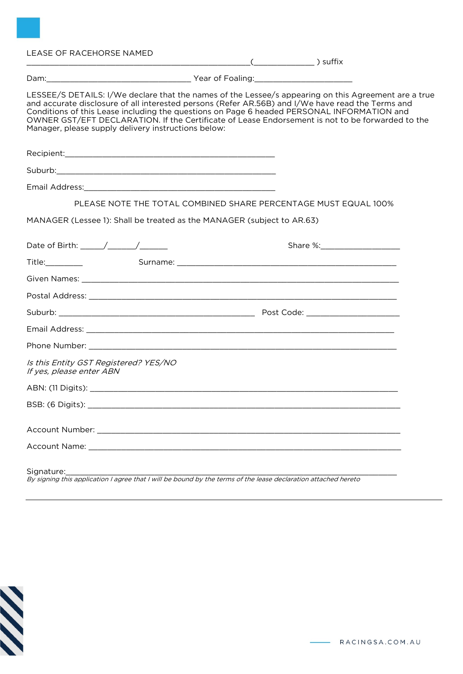## LEASE OF RACEHORSE NAMED

| LESSEE/S DETAILS: I/We declare that the names of the Lessee/s appearing on this Agreement are a true<br>and accurate disclosure of all interested persons (Refer AR.56B) and I/We have read the Terms and<br>Conditions of this Lease including the questions on Page 6 headed PERSONAL INFORMATION and<br>OWNER GST/EFT DECLARATION. If the Certificate of Lease Endorsement is not to be forwarded to the<br>Manager, please supply delivery instructions below: |  |
|--------------------------------------------------------------------------------------------------------------------------------------------------------------------------------------------------------------------------------------------------------------------------------------------------------------------------------------------------------------------------------------------------------------------------------------------------------------------|--|
|                                                                                                                                                                                                                                                                                                                                                                                                                                                                    |  |
|                                                                                                                                                                                                                                                                                                                                                                                                                                                                    |  |
|                                                                                                                                                                                                                                                                                                                                                                                                                                                                    |  |
| PLEASE NOTE THE TOTAL COMBINED SHARE PERCENTAGE MUST EQUAL 100%                                                                                                                                                                                                                                                                                                                                                                                                    |  |
| MANAGER (Lessee 1): Shall be treated as the MANAGER (subject to AR.63)                                                                                                                                                                                                                                                                                                                                                                                             |  |
|                                                                                                                                                                                                                                                                                                                                                                                                                                                                    |  |
| Title: Title:                                                                                                                                                                                                                                                                                                                                                                                                                                                      |  |
|                                                                                                                                                                                                                                                                                                                                                                                                                                                                    |  |
|                                                                                                                                                                                                                                                                                                                                                                                                                                                                    |  |
|                                                                                                                                                                                                                                                                                                                                                                                                                                                                    |  |
|                                                                                                                                                                                                                                                                                                                                                                                                                                                                    |  |
|                                                                                                                                                                                                                                                                                                                                                                                                                                                                    |  |
| Is this Entity GST Registered? YES/NO<br>If yes, please enter ABN                                                                                                                                                                                                                                                                                                                                                                                                  |  |
|                                                                                                                                                                                                                                                                                                                                                                                                                                                                    |  |
| BSB: (6 Digits):                                                                                                                                                                                                                                                                                                                                                                                                                                                   |  |
|                                                                                                                                                                                                                                                                                                                                                                                                                                                                    |  |
|                                                                                                                                                                                                                                                                                                                                                                                                                                                                    |  |
| Signature:                                                                                                                                                                                                                                                                                                                                                                                                                                                         |  |

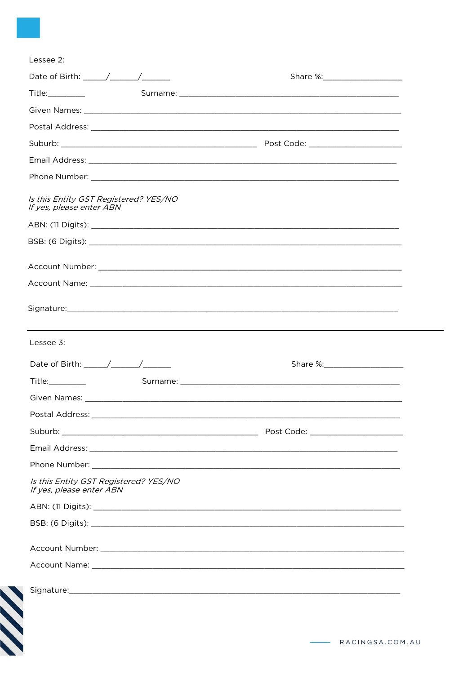| Title: The control of the control of the control of the control of the control of the control of the control of the control of the control of the control of the control of the control of the control of the control of the c |                                                                                                                                                                                                                                |
|--------------------------------------------------------------------------------------------------------------------------------------------------------------------------------------------------------------------------------|--------------------------------------------------------------------------------------------------------------------------------------------------------------------------------------------------------------------------------|
|                                                                                                                                                                                                                                |                                                                                                                                                                                                                                |
|                                                                                                                                                                                                                                |                                                                                                                                                                                                                                |
|                                                                                                                                                                                                                                |                                                                                                                                                                                                                                |
|                                                                                                                                                                                                                                |                                                                                                                                                                                                                                |
|                                                                                                                                                                                                                                |                                                                                                                                                                                                                                |
| Is this Entity GST Registered? YES/NO<br>If yes, please enter ABN                                                                                                                                                              |                                                                                                                                                                                                                                |
|                                                                                                                                                                                                                                |                                                                                                                                                                                                                                |
|                                                                                                                                                                                                                                |                                                                                                                                                                                                                                |
|                                                                                                                                                                                                                                |                                                                                                                                                                                                                                |
|                                                                                                                                                                                                                                |                                                                                                                                                                                                                                |
|                                                                                                                                                                                                                                | Signature: Signature: Signature: Signature: Signature: Signature: Signature: Signature: Signature: Signature: Signature: Signature: Signature: Signature: Signature: Signature: Signature: Signature: Signature: Signature: Si |
| Lessee 3:                                                                                                                                                                                                                      |                                                                                                                                                                                                                                |
| Date of Birth: $\angle$                                                                                                                                                                                                        |                                                                                                                                                                                                                                |
|                                                                                                                                                                                                                                |                                                                                                                                                                                                                                |
| <b>Given Names:</b>                                                                                                                                                                                                            |                                                                                                                                                                                                                                |
|                                                                                                                                                                                                                                |                                                                                                                                                                                                                                |
|                                                                                                                                                                                                                                |                                                                                                                                                                                                                                |
|                                                                                                                                                                                                                                |                                                                                                                                                                                                                                |
|                                                                                                                                                                                                                                |                                                                                                                                                                                                                                |
| Is this Entity GST Registered? YES/NO<br>If yes, please enter ABN                                                                                                                                                              |                                                                                                                                                                                                                                |
|                                                                                                                                                                                                                                |                                                                                                                                                                                                                                |
|                                                                                                                                                                                                                                |                                                                                                                                                                                                                                |
|                                                                                                                                                                                                                                |                                                                                                                                                                                                                                |
|                                                                                                                                                                                                                                |                                                                                                                                                                                                                                |
|                                                                                                                                                                                                                                |                                                                                                                                                                                                                                |
|                                                                                                                                                                                                                                |                                                                                                                                                                                                                                |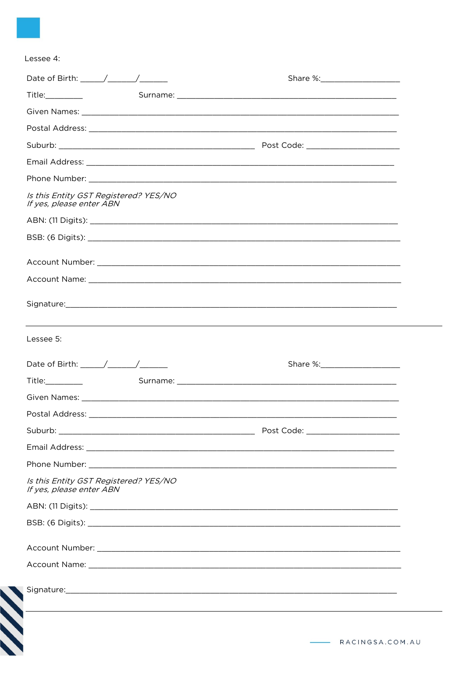| Lessee 4 |  |
|----------|--|
|          |  |

| Is this Entity GST Registered? YES/NO<br>If yes, please enter ABN |  |
|-------------------------------------------------------------------|--|
|                                                                   |  |
|                                                                   |  |
|                                                                   |  |
|                                                                   |  |
|                                                                   |  |
|                                                                   |  |
|                                                                   |  |
| Lessee 5:                                                         |  |
|                                                                   |  |
| Title:_________                                                   |  |
|                                                                   |  |
|                                                                   |  |
|                                                                   |  |
|                                                                   |  |
|                                                                   |  |
| Is this Entity GST Registered? YES/NO<br>If yes, please enter ABN |  |
|                                                                   |  |
|                                                                   |  |
|                                                                   |  |
|                                                                   |  |
|                                                                   |  |
|                                                                   |  |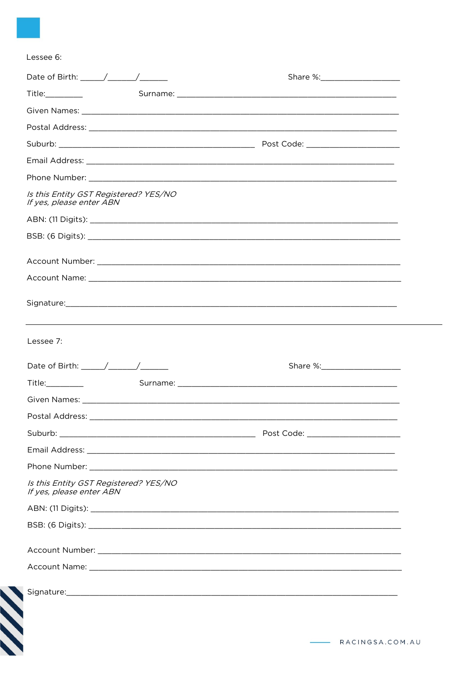| Title:_________                                                                |  |  |
|--------------------------------------------------------------------------------|--|--|
|                                                                                |  |  |
|                                                                                |  |  |
|                                                                                |  |  |
|                                                                                |  |  |
|                                                                                |  |  |
| Is this Entity GST Registered? YES/NO<br>If yes, please enter ABN              |  |  |
|                                                                                |  |  |
|                                                                                |  |  |
|                                                                                |  |  |
|                                                                                |  |  |
|                                                                                |  |  |
|                                                                                |  |  |
|                                                                                |  |  |
|                                                                                |  |  |
|                                                                                |  |  |
|                                                                                |  |  |
|                                                                                |  |  |
|                                                                                |  |  |
|                                                                                |  |  |
|                                                                                |  |  |
| Lessee 7:<br>Is this Entity GST Registered? YES/NO<br>If yes, please enter ABN |  |  |
|                                                                                |  |  |
|                                                                                |  |  |
|                                                                                |  |  |
|                                                                                |  |  |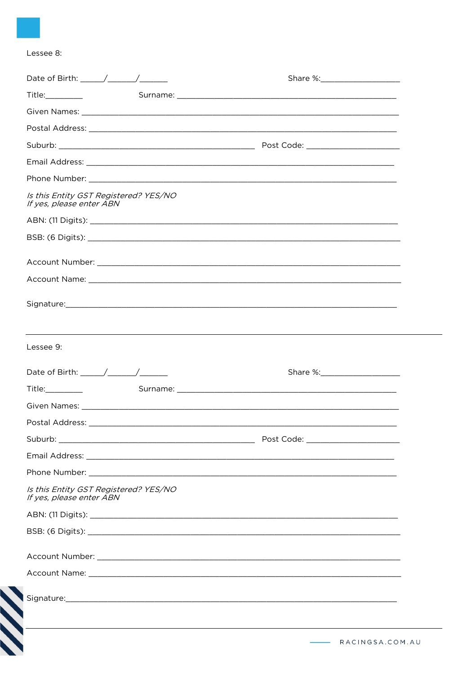## Lessee 8:

**SS** 

| Title:_________                                                                               |  |
|-----------------------------------------------------------------------------------------------|--|
|                                                                                               |  |
|                                                                                               |  |
|                                                                                               |  |
|                                                                                               |  |
|                                                                                               |  |
| Is this Entity GST Registered? YES/NO<br>If yes, please enter ABN                             |  |
|                                                                                               |  |
|                                                                                               |  |
|                                                                                               |  |
|                                                                                               |  |
|                                                                                               |  |
|                                                                                               |  |
|                                                                                               |  |
| ,我们也不会有什么。""我们的人,我们也不会有什么?""我们的人,我们也不会有什么?""我们的人,我们也不会有什么?""我们的人,我们也不会有什么?""我们的人<br>Lessee 9: |  |
|                                                                                               |  |
|                                                                                               |  |
|                                                                                               |  |
|                                                                                               |  |
|                                                                                               |  |
|                                                                                               |  |
|                                                                                               |  |
| Is this Entity GST Registered? YES/NO<br>If yes, please enter ABN                             |  |
|                                                                                               |  |
|                                                                                               |  |
|                                                                                               |  |
|                                                                                               |  |
|                                                                                               |  |
|                                                                                               |  |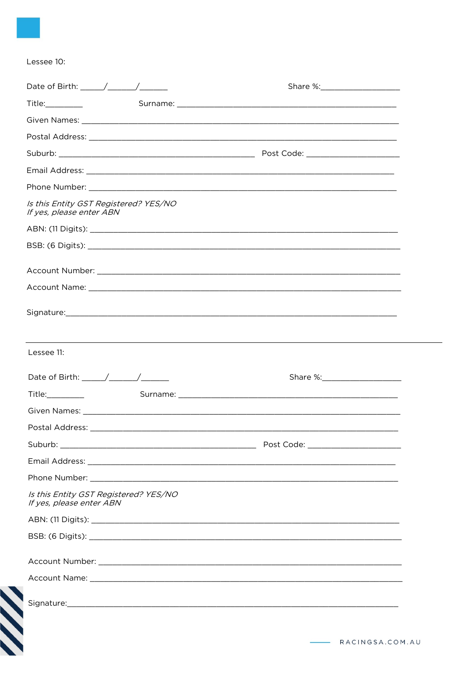#### Lessee 10:

| Date of Birth: $\frac{1}{2}$ $\frac{1}{2}$ $\frac{1}{2}$ $\frac{1}{2}$ $\frac{1}{2}$ $\frac{1}{2}$ $\frac{1}{2}$ $\frac{1}{2}$ $\frac{1}{2}$ $\frac{1}{2}$ $\frac{1}{2}$ $\frac{1}{2}$ $\frac{1}{2}$ $\frac{1}{2}$ $\frac{1}{2}$ $\frac{1}{2}$ $\frac{1}{2}$ $\frac{1}{2}$ $\frac{1}{2}$ $\frac{1}{2}$ $\frac{1}{$ |  |
|--------------------------------------------------------------------------------------------------------------------------------------------------------------------------------------------------------------------------------------------------------------------------------------------------------------------|--|
|                                                                                                                                                                                                                                                                                                                    |  |
|                                                                                                                                                                                                                                                                                                                    |  |
|                                                                                                                                                                                                                                                                                                                    |  |
|                                                                                                                                                                                                                                                                                                                    |  |
|                                                                                                                                                                                                                                                                                                                    |  |
|                                                                                                                                                                                                                                                                                                                    |  |
| Is this Entity GST Registered? YES/NO<br>If yes, please enter ABN                                                                                                                                                                                                                                                  |  |
|                                                                                                                                                                                                                                                                                                                    |  |
|                                                                                                                                                                                                                                                                                                                    |  |
|                                                                                                                                                                                                                                                                                                                    |  |
|                                                                                                                                                                                                                                                                                                                    |  |
|                                                                                                                                                                                                                                                                                                                    |  |
|                                                                                                                                                                                                                                                                                                                    |  |
|                                                                                                                                                                                                                                                                                                                    |  |
|                                                                                                                                                                                                                                                                                                                    |  |
|                                                                                                                                                                                                                                                                                                                    |  |
|                                                                                                                                                                                                                                                                                                                    |  |
|                                                                                                                                                                                                                                                                                                                    |  |
|                                                                                                                                                                                                                                                                                                                    |  |
|                                                                                                                                                                                                                                                                                                                    |  |
|                                                                                                                                                                                                                                                                                                                    |  |
|                                                                                                                                                                                                                                                                                                                    |  |
|                                                                                                                                                                                                                                                                                                                    |  |
|                                                                                                                                                                                                                                                                                                                    |  |
|                                                                                                                                                                                                                                                                                                                    |  |
|                                                                                                                                                                                                                                                                                                                    |  |
|                                                                                                                                                                                                                                                                                                                    |  |
|                                                                                                                                                                                                                                                                                                                    |  |
| Lessee 11:<br>Postal Address: _<br>Is this Entity GST Registered? YES/NO<br>If yes, please enter ABN                                                                                                                                                                                                               |  |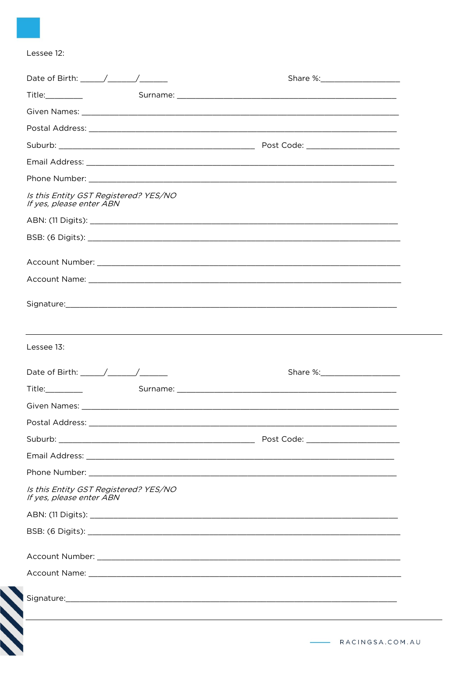# Lessee 12:

|                                                                   | Postal Address: National Address: National Address: National Address: National Address: National Address: National Address: National Address: National Address: National Address: National Address: National Address: National |  |
|-------------------------------------------------------------------|--------------------------------------------------------------------------------------------------------------------------------------------------------------------------------------------------------------------------------|--|
|                                                                   |                                                                                                                                                                                                                                |  |
|                                                                   |                                                                                                                                                                                                                                |  |
|                                                                   |                                                                                                                                                                                                                                |  |
| Is this Entity GST Registered? YES/NO<br>If yes, please enter ABN |                                                                                                                                                                                                                                |  |
|                                                                   |                                                                                                                                                                                                                                |  |
|                                                                   |                                                                                                                                                                                                                                |  |
|                                                                   |                                                                                                                                                                                                                                |  |
|                                                                   |                                                                                                                                                                                                                                |  |
|                                                                   | Signature: Signature: Signature: Signature: Signature: Signature: Signature: Signature: Signature: Signature: Signature: Signature: Signature: Signature: Signature: Signature: Signature: Signature: Signature: Signature: Si |  |
|                                                                   |                                                                                                                                                                                                                                |  |
|                                                                   |                                                                                                                                                                                                                                |  |
|                                                                   |                                                                                                                                                                                                                                |  |
|                                                                   |                                                                                                                                                                                                                                |  |
|                                                                   |                                                                                                                                                                                                                                |  |
|                                                                   |                                                                                                                                                                                                                                |  |
|                                                                   |                                                                                                                                                                                                                                |  |
| Lessee 13:                                                        |                                                                                                                                                                                                                                |  |
|                                                                   |                                                                                                                                                                                                                                |  |
|                                                                   |                                                                                                                                                                                                                                |  |
| Is this Entity GST Registered? YES/NO<br>If yes, please enter ABN |                                                                                                                                                                                                                                |  |
|                                                                   |                                                                                                                                                                                                                                |  |
|                                                                   |                                                                                                                                                                                                                                |  |
|                                                                   |                                                                                                                                                                                                                                |  |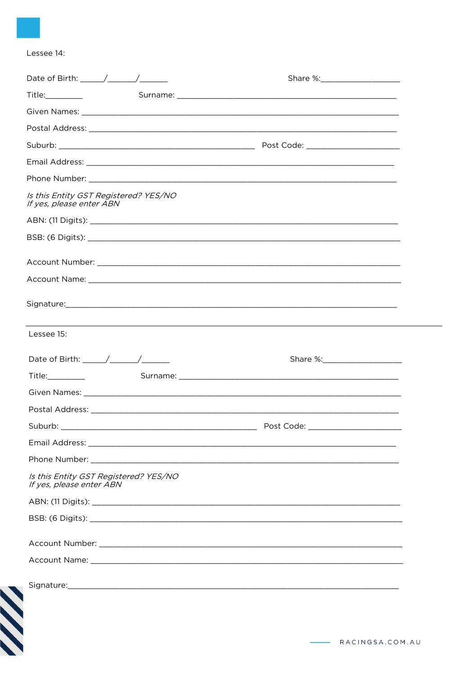# Lessee 14:

| Is this Entity GST Registered? YES/NO<br>If yes, please enter ABN                                                                                                                                                                                                                                                  |                                   |
|--------------------------------------------------------------------------------------------------------------------------------------------------------------------------------------------------------------------------------------------------------------------------------------------------------------------|-----------------------------------|
|                                                                                                                                                                                                                                                                                                                    |                                   |
|                                                                                                                                                                                                                                                                                                                    |                                   |
|                                                                                                                                                                                                                                                                                                                    |                                   |
|                                                                                                                                                                                                                                                                                                                    |                                   |
|                                                                                                                                                                                                                                                                                                                    |                                   |
| Lessee 15:                                                                                                                                                                                                                                                                                                         |                                   |
| Date of Birth: $\frac{1}{2}$ $\frac{1}{2}$ $\frac{1}{2}$ $\frac{1}{2}$ $\frac{1}{2}$ $\frac{1}{2}$ $\frac{1}{2}$ $\frac{1}{2}$ $\frac{1}{2}$ $\frac{1}{2}$ $\frac{1}{2}$ $\frac{1}{2}$ $\frac{1}{2}$ $\frac{1}{2}$ $\frac{1}{2}$ $\frac{1}{2}$ $\frac{1}{2}$ $\frac{1}{2}$ $\frac{1}{2}$ $\frac{1}{2}$ $\frac{1}{$ |                                   |
|                                                                                                                                                                                                                                                                                                                    |                                   |
|                                                                                                                                                                                                                                                                                                                    |                                   |
| Postal Address: entrance and a series of the series of the series of the series of the series of the series of                                                                                                                                                                                                     |                                   |
|                                                                                                                                                                                                                                                                                                                    | Post Code: ______________________ |
|                                                                                                                                                                                                                                                                                                                    |                                   |
|                                                                                                                                                                                                                                                                                                                    |                                   |
| Is this Entity GST Registered? YES/NO<br>If yes, please enter ABN                                                                                                                                                                                                                                                  |                                   |
|                                                                                                                                                                                                                                                                                                                    |                                   |
|                                                                                                                                                                                                                                                                                                                    |                                   |
|                                                                                                                                                                                                                                                                                                                    |                                   |
|                                                                                                                                                                                                                                                                                                                    |                                   |
|                                                                                                                                                                                                                                                                                                                    |                                   |
|                                                                                                                                                                                                                                                                                                                    |                                   |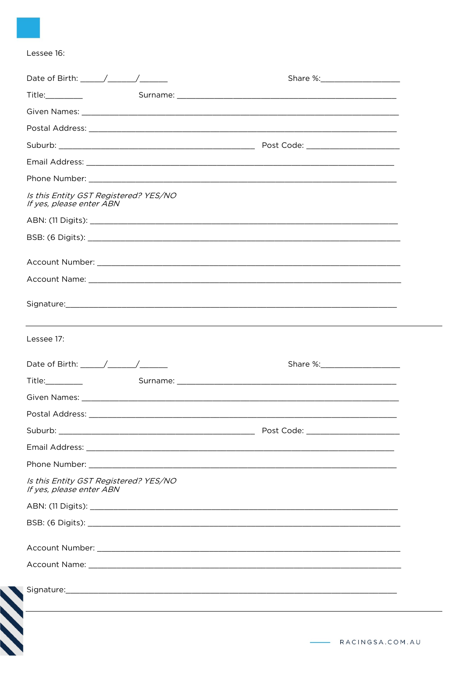### Lessee 16:

| Title: <u>with the second contract of the second contract of the second contract of the second contract of the second contract of the second contract of the second contract of the second contract of the second contract of th</u> |                  |
|--------------------------------------------------------------------------------------------------------------------------------------------------------------------------------------------------------------------------------------|------------------|
|                                                                                                                                                                                                                                      |                  |
|                                                                                                                                                                                                                                      |                  |
|                                                                                                                                                                                                                                      |                  |
|                                                                                                                                                                                                                                      |                  |
|                                                                                                                                                                                                                                      |                  |
| Is this Entity GST Registered? YES/NO<br>If yes, please enter ABN                                                                                                                                                                    |                  |
|                                                                                                                                                                                                                                      |                  |
|                                                                                                                                                                                                                                      |                  |
|                                                                                                                                                                                                                                      |                  |
|                                                                                                                                                                                                                                      |                  |
|                                                                                                                                                                                                                                      |                  |
|                                                                                                                                                                                                                                      |                  |
| Lessee 17:                                                                                                                                                                                                                           |                  |
| Date of Birth: $\frac{\sqrt{2}}{2}$                                                                                                                                                                                                  |                  |
|                                                                                                                                                                                                                                      |                  |
|                                                                                                                                                                                                                                      |                  |
|                                                                                                                                                                                                                                      |                  |
|                                                                                                                                                                                                                                      |                  |
|                                                                                                                                                                                                                                      |                  |
|                                                                                                                                                                                                                                      |                  |
| Is this Entity GST Registered? YES/NO<br>If yes, please enter ABN                                                                                                                                                                    |                  |
|                                                                                                                                                                                                                                      |                  |
|                                                                                                                                                                                                                                      |                  |
|                                                                                                                                                                                                                                      |                  |
|                                                                                                                                                                                                                                      |                  |
|                                                                                                                                                                                                                                      |                  |
|                                                                                                                                                                                                                                      | $\sum_{i=1}^{n}$ |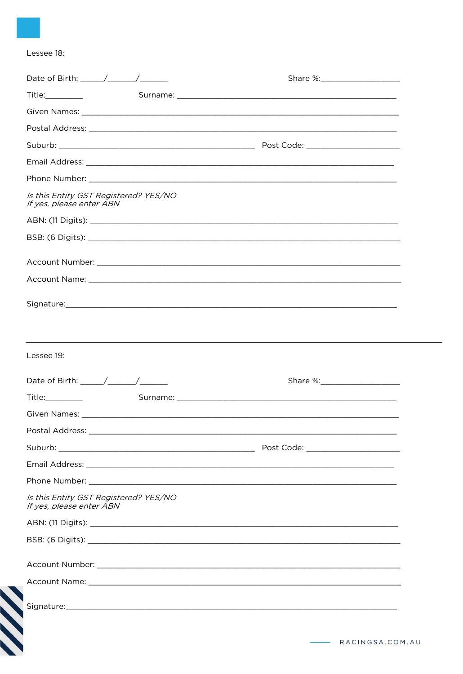# Lessee 18:

| Date of Birth: $\frac{1}{2}$ $\frac{1}{2}$ $\frac{1}{2}$ $\frac{1}{2}$ $\frac{1}{2}$ $\frac{1}{2}$ $\frac{1}{2}$ $\frac{1}{2}$ $\frac{1}{2}$ $\frac{1}{2}$ $\frac{1}{2}$ $\frac{1}{2}$ $\frac{1}{2}$ $\frac{1}{2}$ $\frac{1}{2}$ $\frac{1}{2}$ $\frac{1}{2}$ $\frac{1}{2}$ $\frac{1}{2}$ $\frac{1}{2}$ $\frac{1}{$ |  |
|--------------------------------------------------------------------------------------------------------------------------------------------------------------------------------------------------------------------------------------------------------------------------------------------------------------------|--|
| Title:_________                                                                                                                                                                                                                                                                                                    |  |
|                                                                                                                                                                                                                                                                                                                    |  |
| Postal Address: Note and Address and Address and Address and Address and Address and Address and Address and A                                                                                                                                                                                                     |  |
|                                                                                                                                                                                                                                                                                                                    |  |
|                                                                                                                                                                                                                                                                                                                    |  |
|                                                                                                                                                                                                                                                                                                                    |  |
| Is this Entity GST Registered? YES/NO<br>If yes, please enter ABN                                                                                                                                                                                                                                                  |  |
|                                                                                                                                                                                                                                                                                                                    |  |
|                                                                                                                                                                                                                                                                                                                    |  |
|                                                                                                                                                                                                                                                                                                                    |  |
|                                                                                                                                                                                                                                                                                                                    |  |
| Signature: Signature: Signature: Signature: Signature: Signature: Signature: Signature: Signature: Signature: Signature: Signature: Signature: Signature: Signature: Signature: Signature: Signature: Signature: Signature: Si                                                                                     |  |
|                                                                                                                                                                                                                                                                                                                    |  |
| Lessee 19:                                                                                                                                                                                                                                                                                                         |  |
|                                                                                                                                                                                                                                                                                                                    |  |
|                                                                                                                                                                                                                                                                                                                    |  |
| Date of Birth: $\frac{1}{\sqrt{1-\frac{1}{2}}}\left  \frac{1}{\sqrt{1-\frac{1}{2}}}\right $                                                                                                                                                                                                                        |  |
|                                                                                                                                                                                                                                                                                                                    |  |
|                                                                                                                                                                                                                                                                                                                    |  |
|                                                                                                                                                                                                                                                                                                                    |  |
|                                                                                                                                                                                                                                                                                                                    |  |
| Is this Entity GST Registered? YES/NO<br>If yes, please enter ABN                                                                                                                                                                                                                                                  |  |
|                                                                                                                                                                                                                                                                                                                    |  |
|                                                                                                                                                                                                                                                                                                                    |  |
|                                                                                                                                                                                                                                                                                                                    |  |
|                                                                                                                                                                                                                                                                                                                    |  |
| Signature: Signature: Signature: Signature: Signature: Signature: Signature: Signature: Signature: Signature: Signature: Signature: Signature: Signature: Signature: Signature: Signature: Signature: Signature: Signature: Si                                                                                     |  |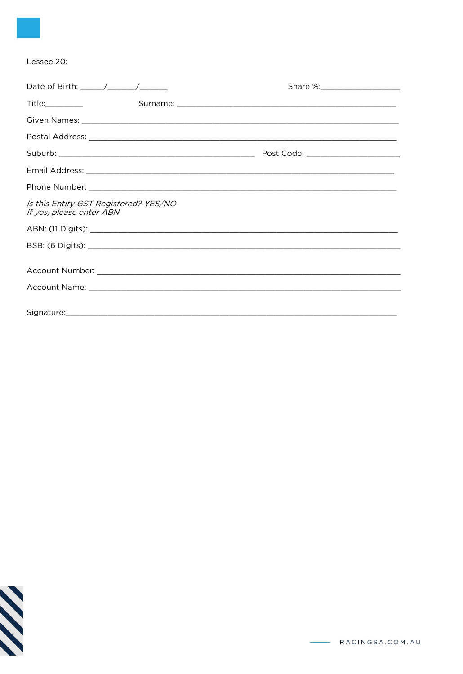#### Lessee 20:

| Title:__________                                                                                                                                                                                                                     |  |
|--------------------------------------------------------------------------------------------------------------------------------------------------------------------------------------------------------------------------------------|--|
|                                                                                                                                                                                                                                      |  |
|                                                                                                                                                                                                                                      |  |
|                                                                                                                                                                                                                                      |  |
|                                                                                                                                                                                                                                      |  |
|                                                                                                                                                                                                                                      |  |
| Is this Entity GST Registered? YES/NO<br>If yes, please enter ABN                                                                                                                                                                    |  |
|                                                                                                                                                                                                                                      |  |
|                                                                                                                                                                                                                                      |  |
| Account Name: <u>Discussion and the community of the community of the community of the community of the community of the community of the community of the community of the community of the community of the community of the c</u> |  |
|                                                                                                                                                                                                                                      |  |

**SSS**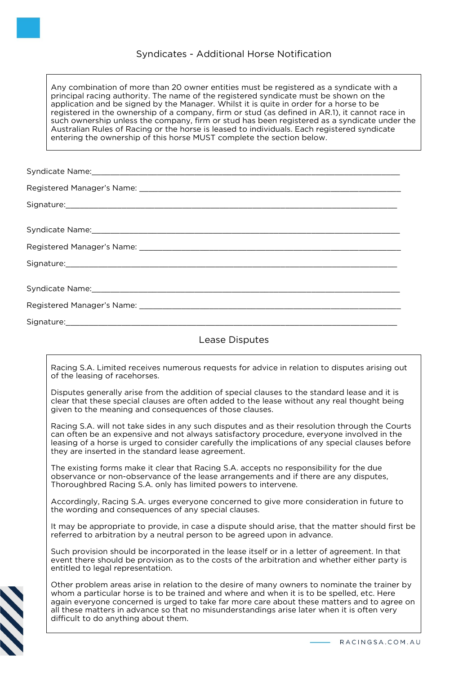# Syndicates - Additional Horse Notification

Any combination of more than 20 owner entities must be registered as a syndicate with a principal racing authority. The name of the registered syndicate must be shown on the application and be signed by the Manager. Whilst it is quite in order for a horse to be registered in the ownership of a company, firm or stud (as defined in AR.1), it cannot race in such ownership unless the company, firm or stud has been registered as a syndicate under the Australian Rules of Racing or the horse is leased to individuals. Each registered syndicate entering the ownership of this horse MUST complete the section below.

# Lease Disputes

Racing S.A. Limited receives numerous requests for advice in relation to disputes arising out of the leasing of racehorses.

Disputes generally arise from the addition of special clauses to the standard lease and it is clear that these special clauses are often added to the lease without any real thought being given to the meaning and consequences of those clauses.

Racing S.A. will not take sides in any such disputes and as their resolution through the Courts can often be an expensive and not always satisfactory procedure, everyone involved in the leasing of a horse is urged to consider carefully the implications of any special clauses before they are inserted in the standard lease agreement.

The existing forms make it clear that Racing S.A. accepts no responsibility for the due observance or non-observance of the lease arrangements and if there are any disputes, Thoroughbred Racing S.A. only has limited powers to intervene.

Accordingly, Racing S.A. urges everyone concerned to give more consideration in future to the wording and consequences of any special clauses.

It may be appropriate to provide, in case a dispute should arise, that the matter should first be referred to arbitration by a neutral person to be agreed upon in advance.

Such provision should be incorporated in the lease itself or in a letter of agreement. In that event there should be provision as to the costs of the arbitration and whether either party is entitled to legal representation.



Other problem areas arise in relation to the desire of many owners to nominate the trainer by whom a particular horse is to be trained and where and when it is to be spelled, etc. Here again everyone concerned is urged to take far more care about these matters and to agree on all these matters in advance so that no misunderstandings arise later when it is often very difficult to do anything about them.